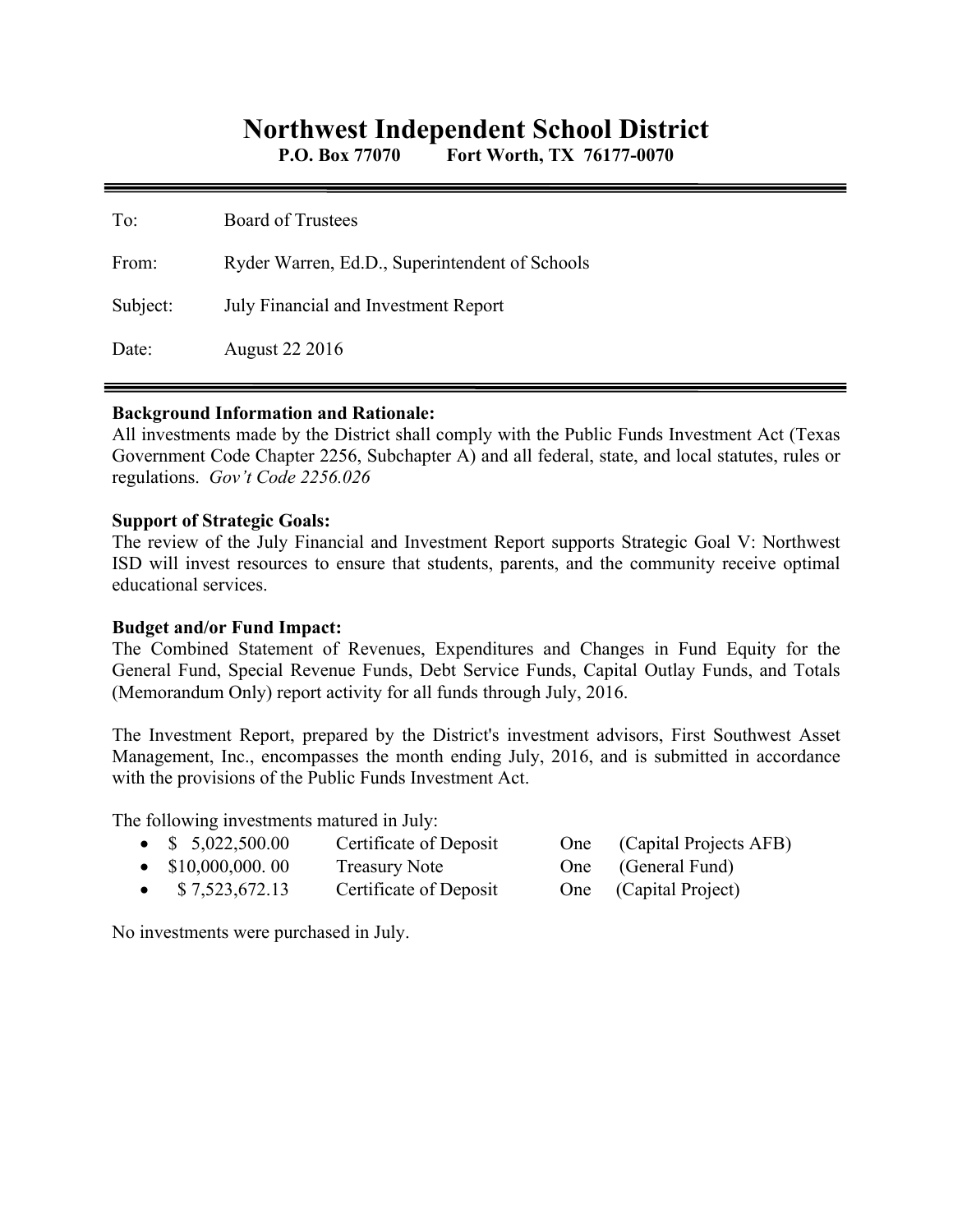# **Northwest Independent School District**

**P.O. Box 77070 Fort Worth, TX 76177-0070** 

| To:      | <b>Board of Trustees</b>                       |
|----------|------------------------------------------------|
| From:    | Ryder Warren, Ed.D., Superintendent of Schools |
| Subject: | July Financial and Investment Report           |
| Date:    | <b>August 22 2016</b>                          |

## **Background Information and Rationale:**

All investments made by the District shall comply with the Public Funds Investment Act (Texas Government Code Chapter 2256, Subchapter A) and all federal, state, and local statutes, rules or regulations. *Gov't Code 2256.026* 

## **Support of Strategic Goals:**

The review of the July Financial and Investment Report supports Strategic Goal V: Northwest ISD will invest resources to ensure that students, parents, and the community receive optimal educational services.

# **Budget and/or Fund Impact:**

The Combined Statement of Revenues, Expenditures and Changes in Fund Equity for the General Fund, Special Revenue Funds, Debt Service Funds, Capital Outlay Funds, and Totals (Memorandum Only) report activity for all funds through July, 2016.

The Investment Report, prepared by the District's investment advisors, First Southwest Asset Management, Inc., encompasses the month ending July, 2016, and is submitted in accordance with the provisions of the Public Funds Investment Act.

The following investments matured in July:

|           | • $$5,022,500.00$         | Certificate of Deposit | One (Capital Projects AFB) |
|-----------|---------------------------|------------------------|----------------------------|
|           | $\bullet$ \$10,000,000.00 | Treasury Note          | One (General Fund)         |
| $\bullet$ | \$7,523,672.13            | Certificate of Deposit | One (Capital Project)      |

No investments were purchased in July.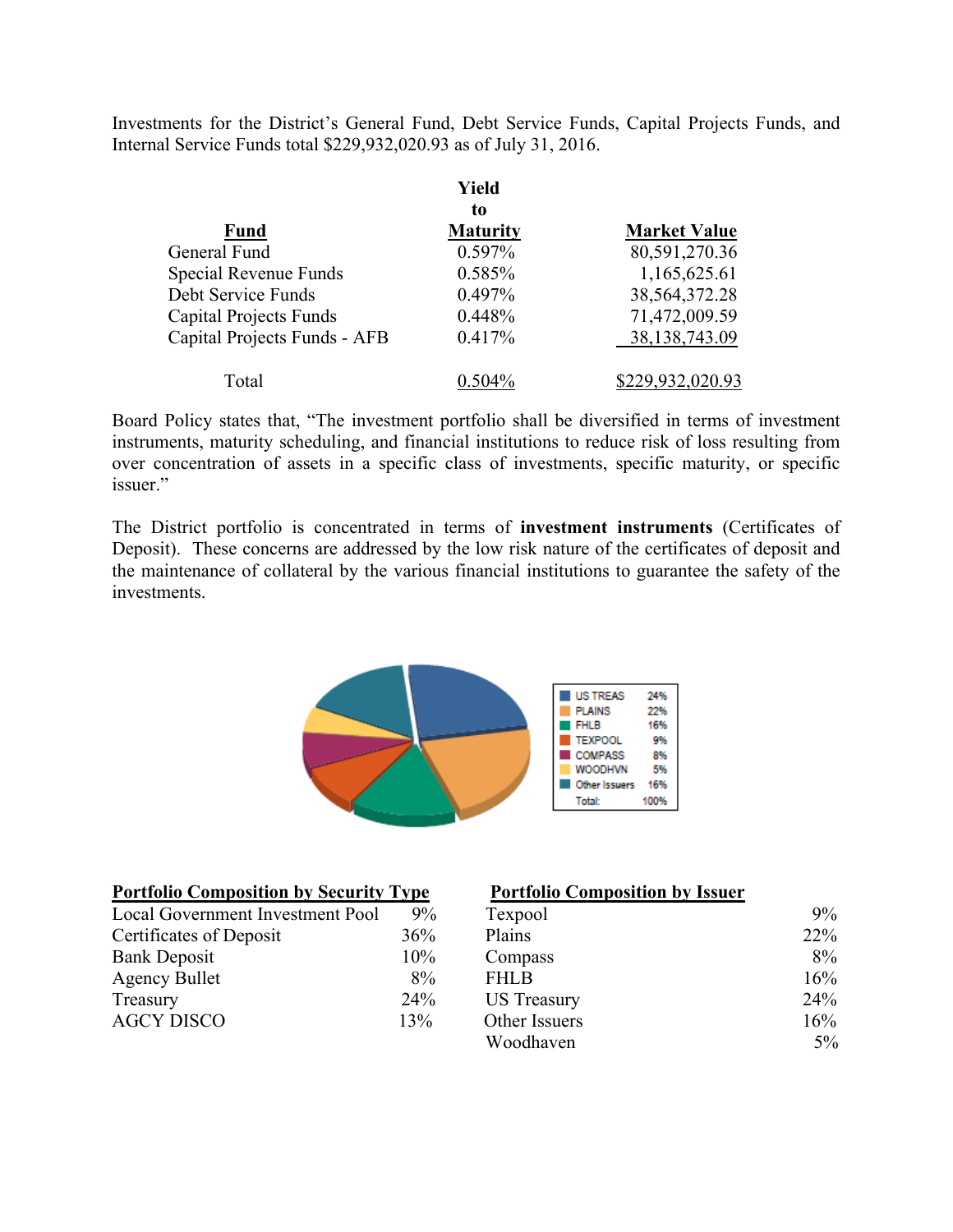Investments for the District's General Fund, Debt Service Funds, Capital Projects Funds, and Internal Service Funds total \$229,932,020.93 as of July 31, 2016.

|                               | Yield           |                     |  |
|-------------------------------|-----------------|---------------------|--|
|                               | to              |                     |  |
| <b>Fund</b>                   | <b>Maturity</b> | <b>Market Value</b> |  |
| General Fund                  | 0.597%          | 80,591,270.36       |  |
| Special Revenue Funds         | 0.585%          | 1,165,625.61        |  |
| Debt Service Funds            | 0.497%          | 38,564,372.28       |  |
| <b>Capital Projects Funds</b> | 0.448%          | 71,472,009.59       |  |
| Capital Projects Funds - AFB  | 0.417%          | 38, 138, 743. 09    |  |
| Total                         | $0.504\%$       | \$229,932,020.93    |  |

Board Policy states that, "The investment portfolio shall be diversified in terms of investment instruments, maturity scheduling, and financial institutions to reduce risk of loss resulting from over concentration of assets in a specific class of investments, specific maturity, or specific issuer."

The District portfolio is concentrated in terms of **investment instruments** (Certificates of Deposit). These concerns are addressed by the low risk nature of the certificates of deposit and the maintenance of collateral by the various financial institutions to guarantee the safety of the investments.



| <b>Portfolio Composition by Security Type</b> |     | <b>Portfolio Composition by Issuer</b> |     |
|-----------------------------------------------|-----|----------------------------------------|-----|
| Local Government Investment Pool              | 9%  | Texpool                                | 9%  |
| Certificates of Deposit                       | 36% | Plains                                 | 22% |
| <b>Bank Deposit</b>                           | 10% | Compass                                | 8%  |
| <b>Agency Bullet</b>                          | 8%  | <b>FHLB</b>                            | 16% |
| Treasury                                      | 24% | <b>US</b> Treasury                     | 24% |
| <b>AGCY DISCO</b>                             | 13% | Other Issuers                          | 16% |
|                                               |     | Woodhaven                              | 5%  |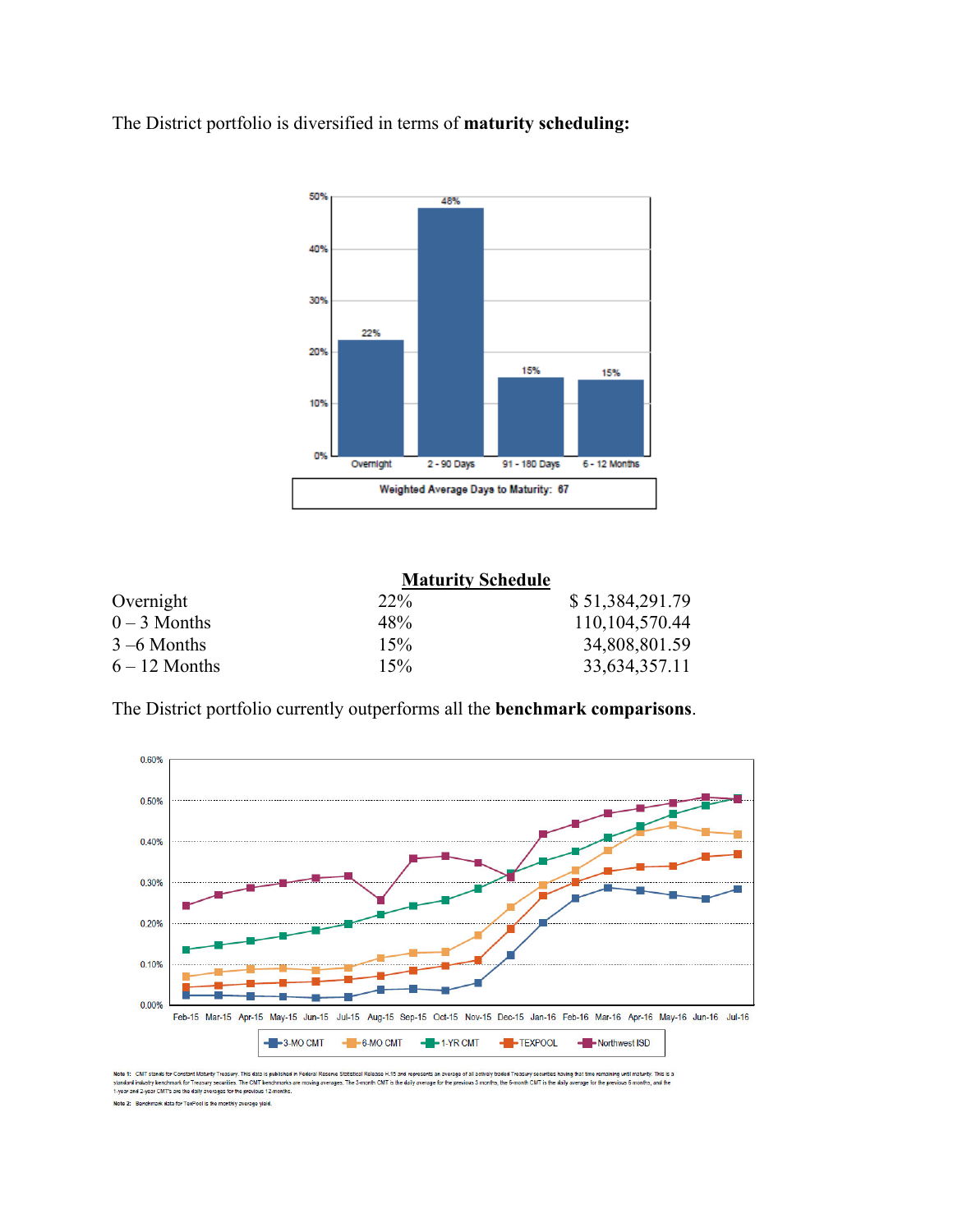The District portfolio is diversified in terms of **maturity scheduling:** 



|                 | <b>Maturity Schedule</b> |                 |
|-----------------|--------------------------|-----------------|
| Overnight       | $22\%$                   | \$51,384,291.79 |
| $0 - 3$ Months  | 48%                      | 110,104,570.44  |
| $3 - 6$ Months  | 15%                      | 34,808,801.59   |
| $6 - 12$ Months | 15%                      | 33,634,357.11   |

The District portfolio currently outperforms all the **benchmark comparisons**.



Note 1: CNT stands for Constant Maturity Treasury. This data is published in Federal Reserve Statistical Release H.15 and represe<br>standard industry benchmark for Treasury securities. The CMT benchmarks are moving averages. ical Release H.15 and represents an average of all actively traded Treasury secu ities having that time remaining until maturity. This is a rage for the **s** evious 3 months, the 6-month CMT is the daily average for the previous 6 months, and the

Note 2: Benchmark data for TexPool is the monthly average vield.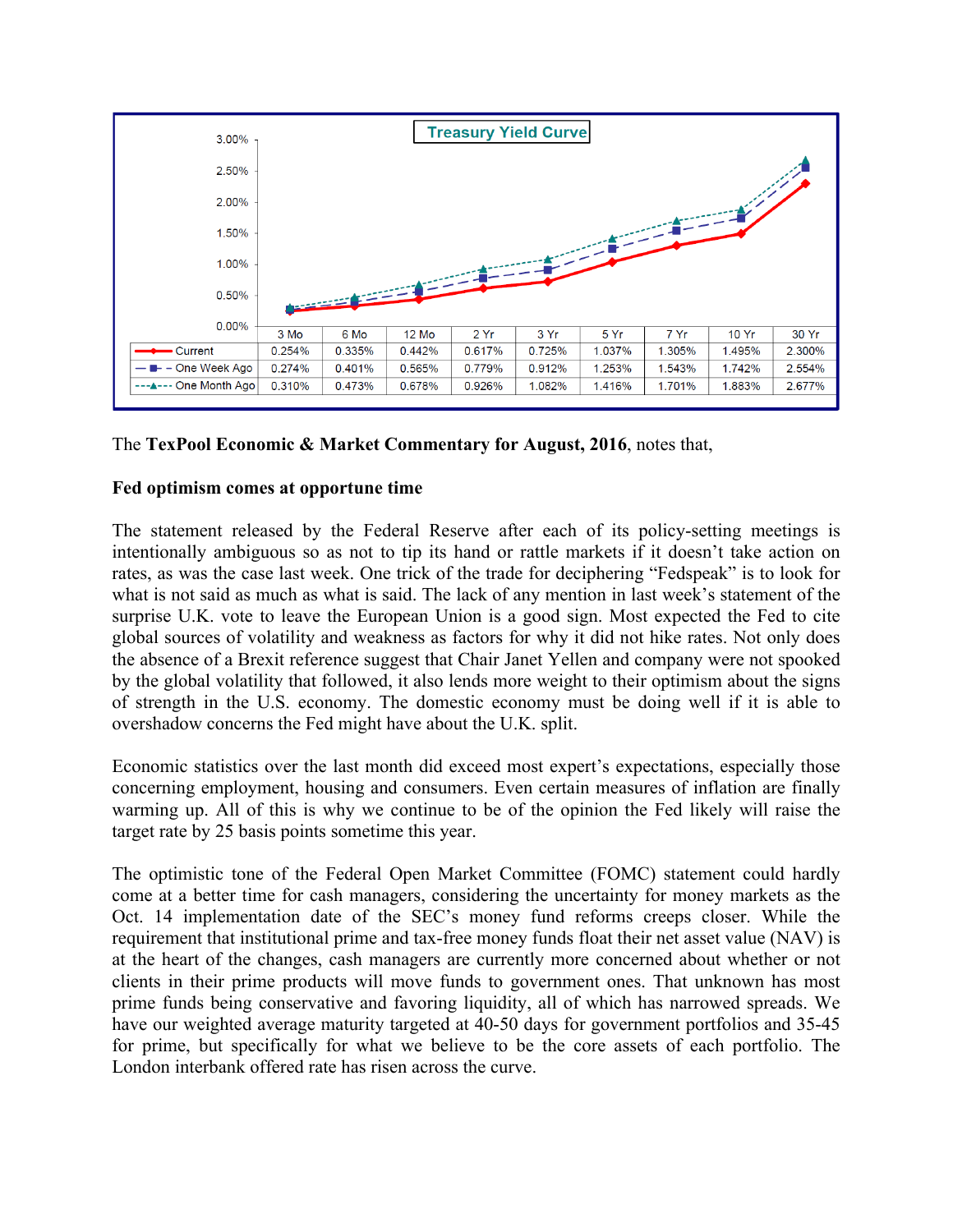

# The **TexPool Economic & Market Commentary for August, 2016**, notes that,

#### **Fed optimism comes at opportune time**

The statement released by the Federal Reserve after each of its policy-setting meetings is intentionally ambiguous so as not to tip its hand or rattle markets if it doesn't take action on rates, as was the case last week. One trick of the trade for deciphering "Fedspeak" is to look for what is not said as much as what is said. The lack of any mention in last week's statement of the surprise U.K. vote to leave the European Union is a good sign. Most expected the Fed to cite global sources of volatility and weakness as factors for why it did not hike rates. Not only does the absence of a Brexit reference suggest that Chair Janet Yellen and company were not spooked by the global volatility that followed, it also lends more weight to their optimism about the signs of strength in the U.S. economy. The domestic economy must be doing well if it is able to overshadow concerns the Fed might have about the U.K. split.

Economic statistics over the last month did exceed most expert's expectations, especially those concerning employment, housing and consumers. Even certain measures of inflation are finally warming up. All of this is why we continue to be of the opinion the Fed likely will raise the target rate by 25 basis points sometime this year.

The optimistic tone of the Federal Open Market Committee (FOMC) statement could hardly come at a better time for cash managers, considering the uncertainty for money markets as the Oct. 14 implementation date of the SEC's money fund reforms creeps closer. While the requirement that institutional prime and tax-free money funds float their net asset value (NAV) is at the heart of the changes, cash managers are currently more concerned about whether or not clients in their prime products will move funds to government ones. That unknown has most prime funds being conservative and favoring liquidity, all of which has narrowed spreads. We have our weighted average maturity targeted at 40-50 days for government portfolios and 35-45 for prime, but specifically for what we believe to be the core assets of each portfolio. The London interbank offered rate has risen across the curve.